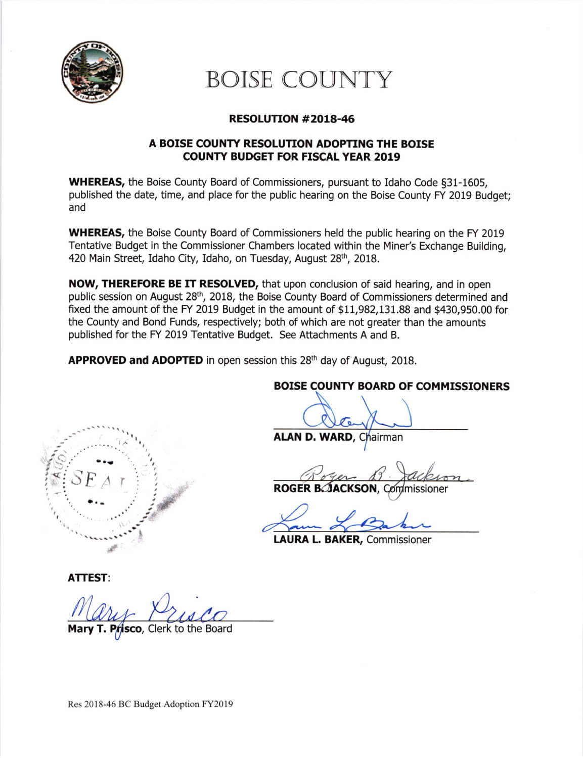

# BOISE COUNTY

### RESOLUTION #2OL8-46

### A BOISE COUNTY RESOLUTION ADOPTING THE BOISE COUNTY BUDGET FOR FISCAL YEAR 2019

WHEREAS, the Boise County Board of Commissioners, pursuant to Idaho Code §31-1605, published the date, time, and place for the public hearing on the Boise County FY 2019 Budget; and

**WHEREAS,** the Boise County Board of Commissioners held the public hearing on the FY 2019 Tentative Budget in the Commissioner Chambers located within the Miner's Exchange Building, 420 Main Street, Idaho City, Idaho, on Tuesday, August 28<sup>th</sup>, 2018.

NOW, THEREFORE BE IT RESOLVED, that upon conclusion of said hearing, and in open public session on August 28<sup>th</sup>, 2018, the Boise County Board of Commissioners determined and fixed the amount of the FY 2019 Budget in the amount of \$11,982,131.88 and \$430,950.00 for the County and Bond Funds, respectively; both of which are not greater than the amounts published for the FY 2019 Tentative Budget. See Attachments A and B.

APPROVED and ADOPTED in open session this 28<sup>th</sup> day of August, 2018.

## BOISE COUNTY BOARD OF COMMISSIONERS

ALAN D. WARD, Chairman

Roger B. Jackson

ROGER BAACKSON, Commissioner

LAURA L. BAKER, Commissioner

ATTEST:

-"'1"')"'

li.F

 $SE_{A,T}$ 

**Prisco**, Clerk to the Board

I

Res 2018-46 BC Budget Adoption FY20l9